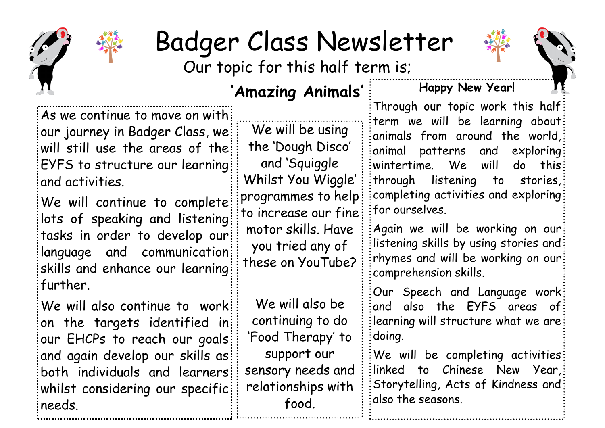

## Badger Class Newsletter

Our topic for this half term is;

## **'Amazing Animals'**

As we continue to move on with our journey in Badger Class, we will still use the areas of the: EYFS to structure our learning and activities.

We will continue to complete: lots of speaking and listening tasks in order to develop our language and communication: skills and enhance our learning further.

We will also continue to work: on the targets identified in our EHCPs to reach our goals and again develop our skills as both individuals and learners whilst considering our specific: needs.

We will be using the 'Dough Disco' and 'Squiggle Whilst You Wiggle' programmes to help to increase our fine motor skills. Have you tried any of these on YouTube?

We will also be continuing to do 'Food Therapy' to support our sensory needs and relationships with food.

## **Happy New Year!**

Through our topic work this half term we will be learning about animals from around the world, animal patterns and exploring wintertime. We will do this through listening to stories, completing activities and exploring for ourselves.

Again we will be working on our listening skills by using stories and: rhymes and will be working on our comprehension skills.

Our Speech and Language work and also the EYFS areas of learning will structure what we are doing.

We will be completing activities: linked to Chinese New Year, Storytelling, Acts of Kindness and also the seasons.